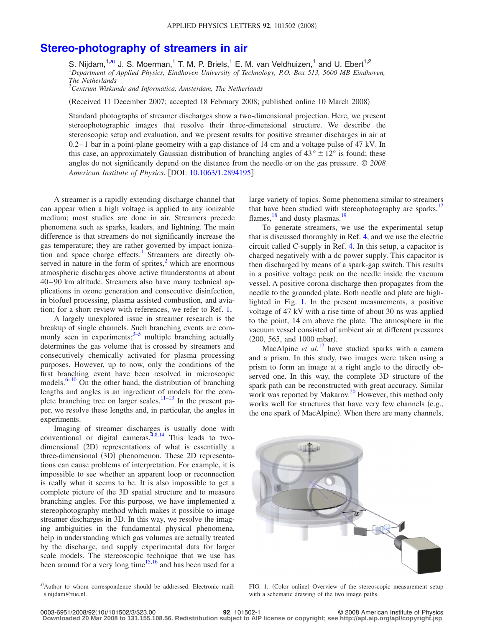## **[Stereo-photography of streamers in air](http://dx.doi.org/10.1063/1.2894195)**

S. Nijdam,<sup>1[,a](#page-0-0))</sup> J. S. Moerman,<sup>1</sup> T. M. P. Briels,<sup>1</sup> E. M. van Veldhuizen,<sup>1</sup> and U. Ebert<sup>1,2</sup> 1 *Department of Applied Physics, Eindhoven University of Technology, P.O. Box 513, 5600 MB Eindhoven, The Netherlands* 2

*Centrum Wiskunde and Informatica, Amsterdam, The Netherlands*

(Received 11 December 2007; accepted 18 February 2008; published online 10 March 2008)

Standard photographs of streamer discharges show a two-dimensional projection. Here, we present stereophotographic images that resolve their three-dimensional structure. We describe the stereoscopic setup and evaluation, and we present results for positive streamer discharges in air at  $0.2-1$  bar in a point-plane geometry with a gap distance of 14 cm and a voltage pulse of 47 kV. In this case, an approximately Gaussian distribution of branching angles of  $43^{\circ} \pm 12^{\circ}$  is found; these angles do not significantly depend on the distance from the needle or on the gas pressure. © *2008 American Institute of Physics*. DOI: [10.1063/1.2894195](http://dx.doi.org/10.1063/1.2894195)

A streamer is a rapidly extending discharge channel that can appear when a high voltage is applied to any ionizable medium; most studies are done in air. Streamers precede phenomena such as sparks, leaders, and lightning. The main difference is that streamers do not significantly increase the gas temperature; they are rather governed by impact ionization and space charge effects.<sup>1</sup> Streamers are directly observed in nature in the form of sprites, $\frac{2}{3}$  which are enormous atmospheric discharges above active thunderstorms at about 40–90 km altitude. Streamers also have many technical applications in ozone generation and consecutive disinfection, in biofuel processing, plasma assisted combustion, and aviation; for a short review with references, we refer to Ref. [1,](#page-2-0)

A largely unexplored issue in streamer research is the breakup of single channels. Such branching events are commonly seen in experiments; $3-5$  multiple branching actually determines the gas volume that is crossed by streamers and consecutively chemically activated for plasma processing purposes. However, up to now, only the conditions of the first branching event have been resolved in microscopic models. $6-10$  $6-10$  On the other hand, the distribution of branching lengths and angles is an ingredient of models for the com-plete branching tree on larger scales.<sup>11–[13](#page-2-7)</sup> In the present paper, we resolve these lengths and, in particular, the angles in experiments.

Imaging of streamer discharges is usually done with conventional or digital cameras.<sup> $4,8,14$  $4,8,14$  $4,8,14$ </sup> This leads to twodimensional (2D) representations of what is essentially a three-dimensional (3D) phenomenon. These 2D representations can cause problems of interpretation. For example, it is impossible to see whether an apparent loop or reconnection is really what it seems to be. It is also impossible to get a complete picture of the 3D spatial structure and to measure branching angles. For this purpose, we have implemented a stereophotography method which makes it possible to image streamer discharges in 3D. In this way, we resolve the imaging ambiguities in the fundamental physical phenomena, help in understanding which gas volumes are actually treated by the discharge, and supply experimental data for larger scale models. The stereoscopic technique that we use has been around for a very long time<sup>15[,16](#page-2-12)</sup> and has been used for a

large variety of topics. Some phenomena similar to streamers that have been studied with stereophotography are sparks, $17$ flames,  $^{18}$  and dusty plasmas.<sup>1</sup>

To generate streamers, we use the experimental setup that is discussed thoroughly in Ref. [4,](#page-2-8) and we use the electric circuit called C-supply in Ref. [4.](#page-2-8) In this setup, a capacitor is charged negatively with a dc power supply. This capacitor is then discharged by means of a spark-gap switch. This results in a positive voltage peak on the needle inside the vacuum vessel. A positive corona discharge then propagates from the needle to the grounded plate. Both needle and plate are highlighted in Fig. [1.](#page-0-1) In the present measurements, a positive voltage of 47 kV with a rise time of about 30 ns was applied to the point, 14 cm above the plate. The atmosphere in the vacuum vessel consisted of ambient air at different pressures  $(200, 565, and 1000 mbar).$ 

MacAlpine *et al.*<sup>[17](#page-2-13)</sup> have studied sparks with a camera and a prism. In this study, two images were taken using a prism to form an image at a right angle to the directly observed one. In this way, the complete 3D structure of the spark path can be reconstructed with great accuracy. Similar work was reported by Makarov.<sup>20</sup> However, this method only works well for structures that have very few channels (e.g., the one spark of MacAlpine). When there are many channels,

<span id="page-0-1"></span>

FIG. 1. (Color online) Overview of the stereoscopic measurement setup with a schematic drawing of the two image paths.

<span id="page-0-0"></span>a) Author to whom correspondence should be addressed. Electronic mail: s.nijdam@tue.nl.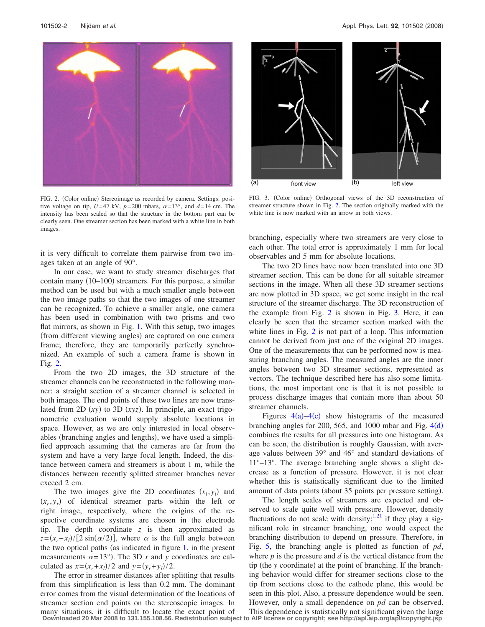<span id="page-1-0"></span>

FIG. 2. (Color online) Stereoimage as recorded by camera. Settings: positive voltage on tip,  $U=47$  kV,  $p=200$  mbars,  $\alpha=13^{\circ}$ , and  $d=14$  cm. The intensity has been scaled so that the structure in the bottom part can be clearly seen. One streamer section has been marked with a white line in both images.

it is very difficult to correlate them pairwise from two images taken at an angle of 90°.

In our case, we want to study streamer discharges that contain many (10-100) streamers. For this purpose, a similar method can be used but with a much smaller angle between the two image paths so that the two images of one streamer can be recognized. To achieve a smaller angle, one camera has been used in combination with two prisms and two flat mirrors, as shown in Fig. [1.](#page-0-1) With this setup, two images (from different viewing angles) are captured on one camera frame; therefore, they are temporarily perfectly synchronized. An example of such a camera frame is shown in Fig. [2.](#page-1-0)

From the two 2D images, the 3D structure of the streamer channels can be reconstructed in the following manner: a straight section of a streamer channel is selected in both images. The end points of these two lines are now translated from  $2D (xy)$  to  $3D (xyz)$ . In principle, an exact trigonometric evaluation would supply absolute locations in space. However, as we are only interested in local observables (branching angles and lengths), we have used a simplified approach assuming that the cameras are far from the system and have a very large focal length. Indeed, the distance between camera and streamers is about 1 m, while the distances between recently splitted streamer branches never exceed 2 cm.

The two images give the 2D coordinates  $(x_l, y_l)$  and  $(x_r, y_r)$  of identical streamer parts within the left or right image, respectively, where the origins of the respective coordinate systems are chosen in the electrode tip. The depth coordinate *z* is then approximated as  $z = (x_r - x_l)/[2 \sin(\alpha/2)]$ , where  $\alpha$  is the full angle between the two optical paths (as indicated in figure  $1$ , in the present measurements  $\alpha = 13^{\circ}$ ). The 3D *x* and *y* coordinates are calculated as  $x = (x_r + x_l)/2$  and  $y = (y_r + y_l)/2$ .

The error in streamer distances after splitting that results from this simplification is less than 0.2 mm. The dominant error comes from the visual determination of the locations of streamer section end points on the stereoscopic images. In many situations, it is difficult to locate the exact point of **Downloaded 20 Mar 2008 to 131.155.108.56. Redistribution subject to AIP license or copyright; see http://apl.aip.org/apl/copyright.jsp**

<span id="page-1-1"></span>

FIG. 3. (Color online) Orthogonal views of the 3D reconstruction of streamer structure shown in Fig. [2.](#page-1-0) The section originally marked with the white line is now marked with an arrow in both views.

branching, especially where two streamers are very close to each other. The total error is approximately 1 mm for local observables and 5 mm for absolute locations.

The two 2D lines have now been translated into one 3D streamer section. This can be done for all suitable streamer sections in the image. When all these 3D streamer sections are now plotted in 3D space, we get some insight in the real structure of the streamer discharge. The 3D reconstruction of the example from Fig. [2](#page-1-0) is shown in Fig. [3.](#page-1-1) Here, it can clearly be seen that the streamer section marked with the white lines in Fig. [2](#page-1-0) is not part of a loop. This information cannot be derived from just one of the original 2D images. One of the measurements that can be performed now is measuring branching angles. The measured angles are the inner angles between two 3D streamer sections, represented as vectors. The technique described here has also some limitations, the most important one is that it is not possible to process discharge images that contain more than about 50 streamer channels.

Figures  $4(a) - 4(c)$  $4(a) - 4(c)$  show histograms of the measured branching angles for 200, 565, and 1000 mbar and Fig.  $4(d)$  $4(d)$ combines the results for all pressures into one histogram. As can be seen, the distribution is roughly Gaussian, with average values between 39° and 46° and standard deviations of 11°–13°. The average branching angle shows a slight decrease as a function of pressure. However, it is not clear whether this is statistically significant due to the limited amount of data points (about 35 points per pressure setting).

The length scales of streamers are expected and observed to scale quite well with pressure. However, density fluctuations do not scale with density;  $\frac{1,21}{1}$  $\frac{1,21}{1}$  $\frac{1,21}{1}$  if they play a significant role in streamer branching, one would expect the branching distribution to depend on pressure. Therefore, in Fig. [5,](#page-2-19) the branching angle is plotted as function of *pd*, where *p* is the pressure and *d* is the vertical distance from the tip (the *y* coordinate) at the point of branching. If the branching behavior would differ for streamer sections close to the tip from sections close to the cathode plane, this would be seen in this plot. Also, a pressure dependence would be seen. However, only a small dependence on *pd* can be observed. This dependence is statistically not significant given the large